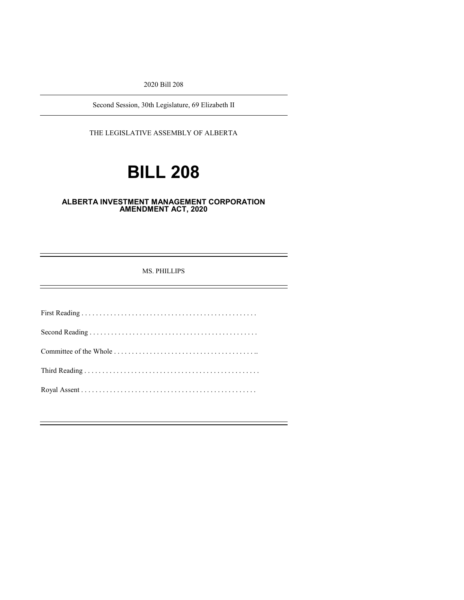2020 Bill 208

Second Session, 30th Legislature, 69 Elizabeth II

THE LEGISLATIVE ASSEMBLY OF ALBERTA

# **BILL 208**

## **ALBERTA INVESTMENT MANAGEMENT CORPORATION AMENDMENT ACT, 2020**

MS. PHILLIPS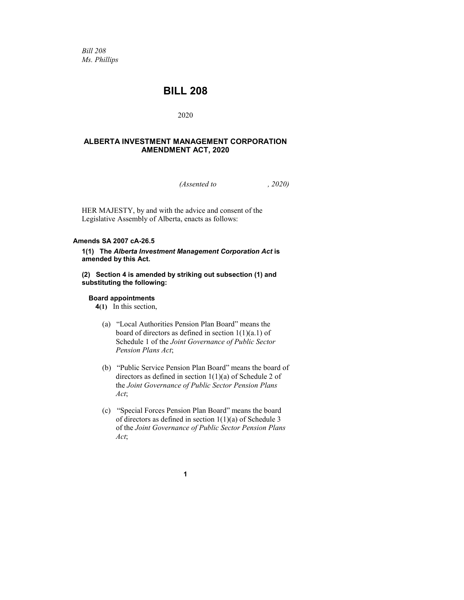*Bill 208 Ms. Phillips*

# **BILL 208**

2020

# **ALBERTA INVESTMENT MANAGEMENT CORPORATION AMENDMENT ACT, 2020**

*(Assented to , 2020)*

HER MAJESTY, by and with the advice and consent of the Legislative Assembly of Alberta, enacts as follows:

#### **Amends SA 2007 cA-26.5**

**1(1) The** *Alberta Investment Management Corporation Act* **is amended by this Act.**

#### **(2) Section 4 is amended by striking out subsection (1) and substituting the following:**

#### **Board appointments**

**4(1)** In this section,

- (a) "Local Authorities Pension Plan Board" means the board of directors as defined in section  $1(1)(a.1)$  of Schedule 1 of the *Joint Governance of Public Sector Pension Plans Act*;
- (b) "Public Service Pension Plan Board" means the board of directors as defined in section 1(1)(a) of Schedule 2 of the *Joint Governance of Public Sector Pension Plans Act*;
- (c) "Special Forces Pension Plan Board" means the board of directors as defined in section 1(1)(a) of Schedule 3 of the *Joint Governance of Public Sector Pension Plans Act*;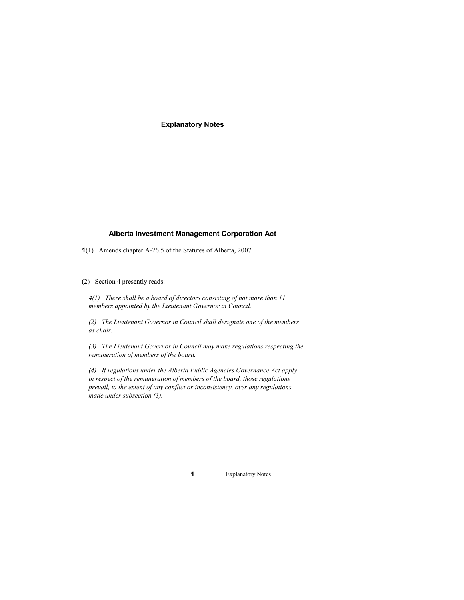**Explanatory Notes**

## **Alberta Investment Management Corporation Act**

**1**(1) Amends chapter A-26.5 of the Statutes of Alberta, 2007.

(2) Section 4 presently reads:

*4(1) There shall be a board of directors consisting of not more than 11 members appointed by the Lieutenant Governor in Council.*

*(2) The Lieutenant Governor in Council shall designate one of the members as chair.*

*(3) The Lieutenant Governor in Council may make regulations respecting the remuneration of members of the board.*

*(4) If regulations under the Alberta Public Agencies Governance Act apply in respect of the remuneration of members of the board, those regulations prevail, to the extent of any conflict or inconsistency, over any regulations made under subsection (3).*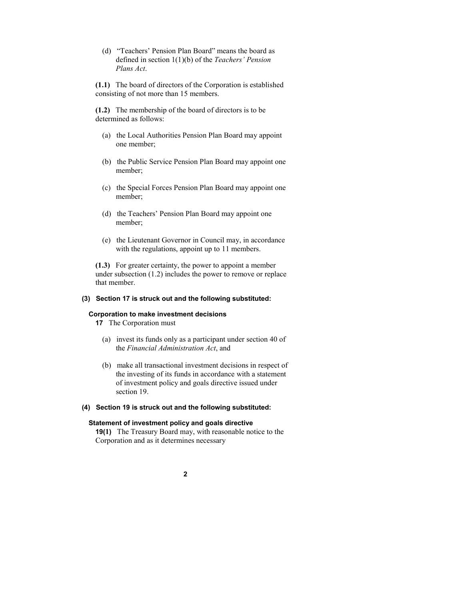(d) "Teachers' Pension Plan Board" means the board as defined in section 1(1)(b) of the *Teachers' Pension Plans Act*.

**(1.1)** The board of directors of the Corporation is established consisting of not more than 15 members.

**(1.2)** The membership of the board of directors is to be determined as follows:

- (a) the Local Authorities Pension Plan Board may appoint one member;
- (b) the Public Service Pension Plan Board may appoint one member;
- (c) the Special Forces Pension Plan Board may appoint one member;
- (d) the Teachers' Pension Plan Board may appoint one member;
- (e) the Lieutenant Governor in Council may, in accordance with the regulations, appoint up to 11 members.

**(1.3)** For greater certainty, the power to appoint a member under subsection (1.2) includes the power to remove or replace that member.

#### **(3) Section 17 is struck out and the following substituted:**

#### **Corporation to make investment decisions**

- **17** The Corporation must
	- (a) invest its funds only as a participant under section 40 of the *Financial Administration Act*, and
	- (b) make all transactional investment decisions in respect of the investing of its funds in accordance with a statement of investment policy and goals directive issued under section 19.

#### **(4) Section 19 is struck out and the following substituted:**

#### **Statement of investment policy and goals directive**

**19(1)** The Treasury Board may, with reasonable notice to the Corporation and as it determines necessary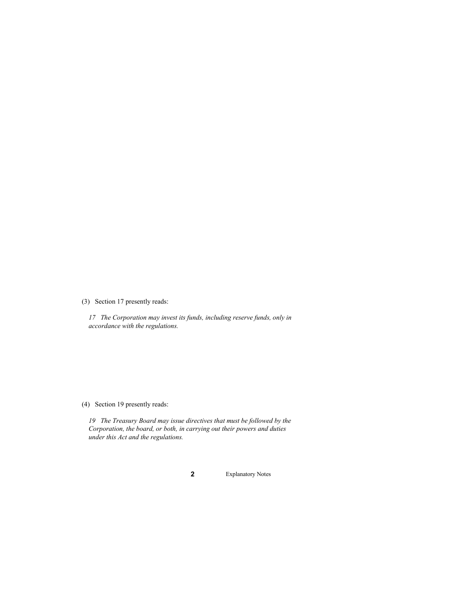(3) Section 17 presently reads:

*17 The Corporation may invest its funds, including reserve funds, only in accordance with the regulations.*

(4) Section 19 presently reads:

*19 The Treasury Board may issue directives that must be followed by the Corporation, the board, or both, in carrying out their powers and duties under this Act and the regulations.*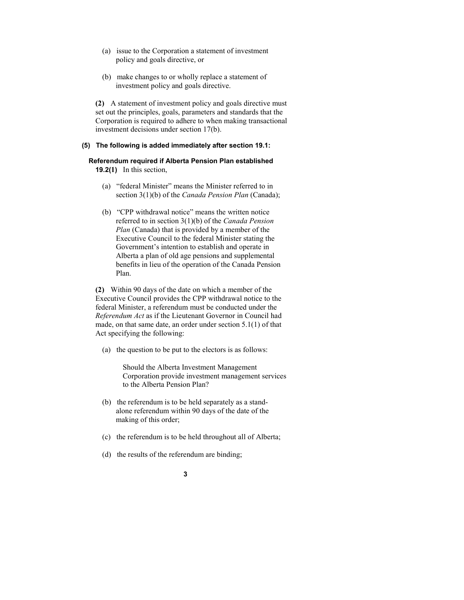- (a) issue to the Corporation a statement of investment policy and goals directive, or
- (b) make changes to or wholly replace a statement of investment policy and goals directive.

**(2)** A statement of investment policy and goals directive must set out the principles, goals, parameters and standards that the Corporation is required to adhere to when making transactional investment decisions under section 17(b).

#### **(5) The following is added immediately after section 19.1:**

#### **Referendum required if Alberta Pension Plan established 19.2(1)** In this section,

- (a) "federal Minister" means the Minister referred to in section 3(1)(b) of the *Canada Pension Plan* (Canada);
- (b) "CPP withdrawal notice" means the written notice referred to in section 3(1)(b) of the *Canada Pension Plan* (Canada) that is provided by a member of the Executive Council to the federal Minister stating the Government's intention to establish and operate in Alberta a plan of old age pensions and supplemental benefits in lieu of the operation of the Canada Pension Plan.

**(2)** Within 90 days of the date on which a member of the Executive Council provides the CPP withdrawal notice to the federal Minister, a referendum must be conducted under the *Referendum Act* as if the Lieutenant Governor in Council had made, on that same date, an order under section 5.1(1) of that Act specifying the following:

(a) the question to be put to the electors is as follows:

Should the Alberta Investment Management Corporation provide investment management services to the Alberta Pension Plan?

- (b) the referendum is to be held separately as a standalone referendum within 90 days of the date of the making of this order;
- (c) the referendum is to be held throughout all of Alberta;
- (d) the results of the referendum are binding;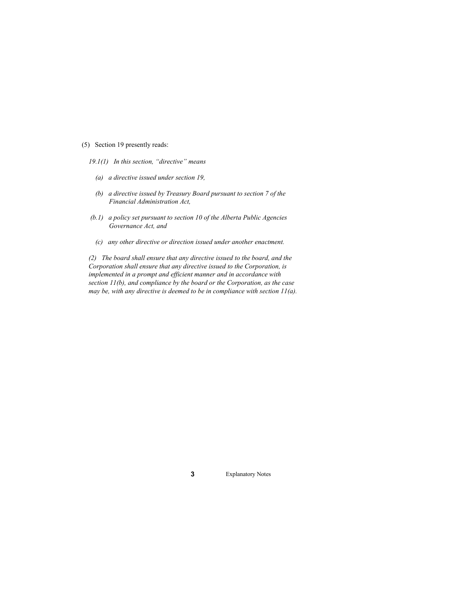- (5) Section 19 presently reads:
	- *19.1(1) In this section, "directive" means*
		- *(a) a directive issued under section 19,*
		- *(b) a directive issued by Treasury Board pursuant to section 7 of the Financial Administration Act,*
	- *(b.1) a policy set pursuant to section 10 of the Alberta Public Agencies Governance Act, and*
		- *(c) any other directive or direction issued under another enactment.*

*(2) The board shall ensure that any directive issued to the board, and the Corporation shall ensure that any directive issued to the Corporation, is implemented in a prompt and efficient manner and in accordance with section 11(b), and compliance by the board or the Corporation, as the case may be, with any directive is deemed to be in compliance with section 11(a).*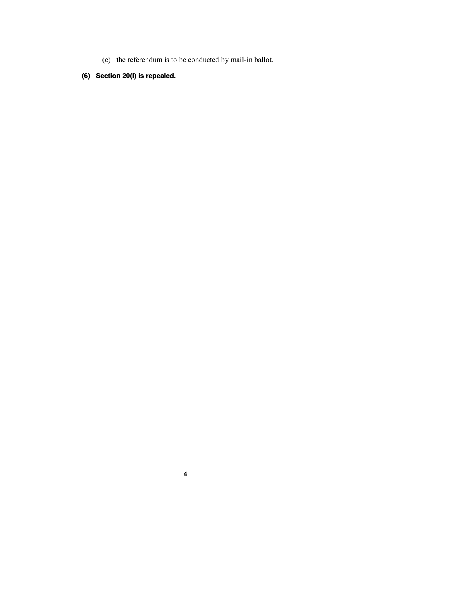(e) the referendum is to be conducted by mail-in ballot.

# **(6) Section 20(l) is repealed.**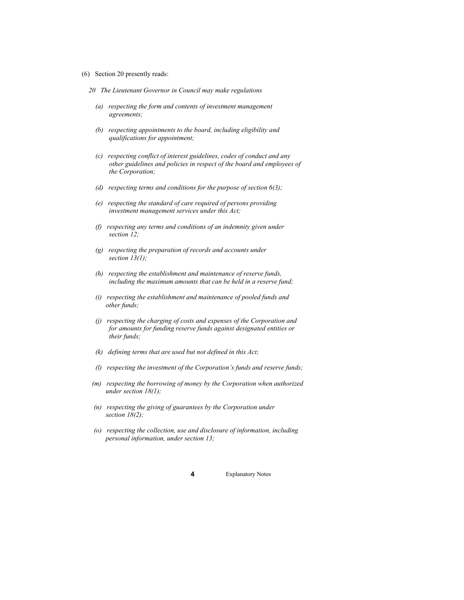- (6) Section 20 presently reads:
	- *20 The Lieutenant Governor in Council may make regulations*
		- *(a) respecting the form and contents of investment management agreements;*
		- *(b) respecting appointments to the board, including eligibility and qualifications for appointment;*
		- *(c) respecting conflict of interest guidelines, codes of conduct and any other guidelines and policies in respect of the board and employees of the Corporation;*
		- *(d) respecting terms and conditions for the purpose of section 6(3);*
		- *(e) respecting the standard of care required of persons providing investment management services under this Act;*
		- *(f) respecting any terms and conditions of an indemnity given under section 12;*
		- *(g) respecting the preparation of records and accounts under section 13(1);*
		- *(h) respecting the establishment and maintenance of reserve funds, including the maximum amounts that can be held in a reserve fund;*
		- *(i) respecting the establishment and maintenance of pooled funds and other funds;*
		- *(j) respecting the charging of costs and expenses of the Corporation and for amounts for funding reserve funds against designated entities or their funds;*
		- *(k) defining terms that are used but not defined in this Act;*
		- *(l) respecting the investment of the Corporation's funds and reserve funds;*
		- *(m) respecting the borrowing of money by the Corporation when authorized under section 18(1);*
		- *(n) respecting the giving of guarantees by the Corporation under section 18(2);*
		- *(o) respecting the collection, use and disclosure of information, including personal information, under section 13;*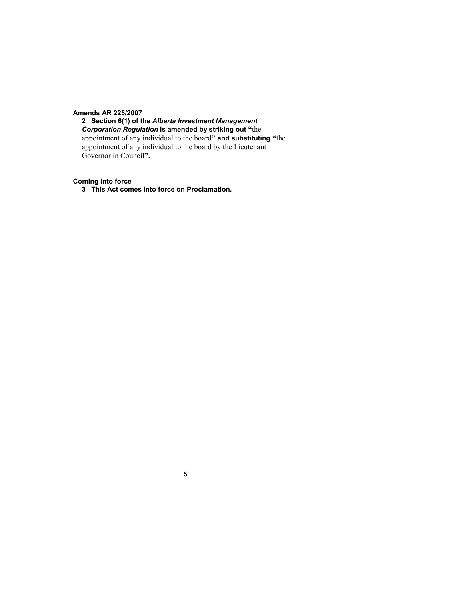#### **Amends AR 225/2007**

**2 Section 6(1) of the** *Alberta Investment Management Corporation Regulation* **is amended by striking out "**the appointment of any individual to the board**" and substituting "**the appointment of any individual to the board by the Lieutenant Governor in Council**".**

#### **Coming into force**

**3 This Act comes into force on Proclamation.**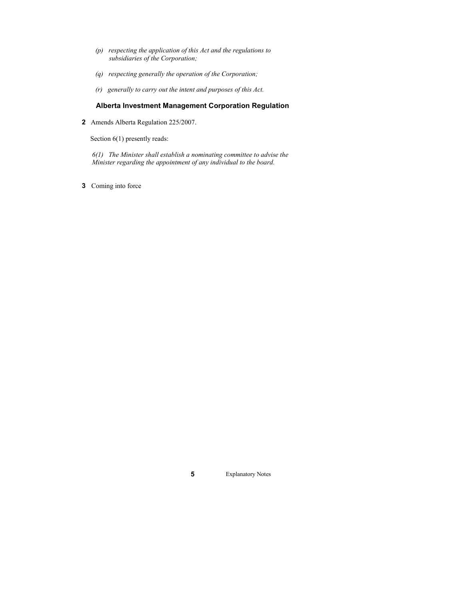- *(p) respecting the application of this Act and the regulations to subsidiaries of the Corporation;*
- *(q) respecting generally the operation of the Corporation;*
- *(r) generally to carry out the intent and purposes of this Act.*

### **Alberta Investment Management Corporation Regulation**

**2** Amends Alberta Regulation 225/2007.

Section  $6(1)$  presently reads:

*6(1) The Minister shall establish a nominating committee to advise the Minister regarding the appointment of any individual to the board.*

**3** Coming into force